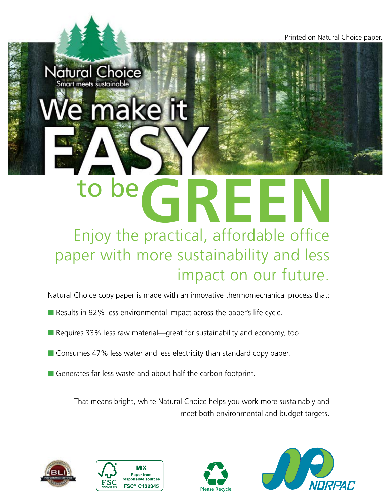Printed on Natural Choice paper.

## to be Enjoy the practical, affordable office **GREEN** paper with more sustainability and less impact on our future.

Natural Choice copy paper is made with an innovative thermomechanical process that:

- Results in 92% less environmental impact across the paper's life cycle.
- $\blacksquare$  Requires 33% less raw material—great for sustainability and economy, too.
- Consumes 47% less water and less electricity than standard copy paper.
- Generates far less waste and about half the carbon footprint.

That means bright, white Natural Choice helps you work more sustainably and meet both environmental and budget targets.





e make it

Natural Choice Smart meets sustainable

**EASY**